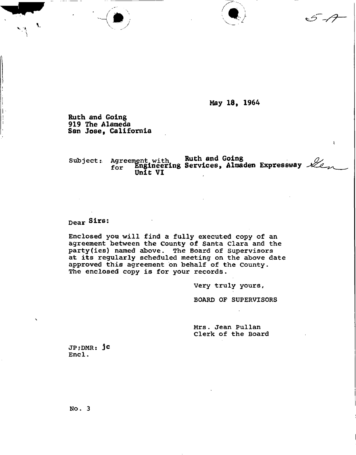**May 18, 1964** 

t.

 $\sum_{i=1}^n a_i$ 

**Ruth and Going 919 The Alameda San Jose, California** 

Subject: Agreement with **KUCh and Going Runners** 194 **for Engineering Services, Altnaden Expressway ^ Unit VI** 

## **Dear Sirs:**

**Enclosed you will find a fully executed copy of an agreement between the County of Santa Clara and the party(ies) named above, The Board of Supervisors at its regularly scheduled meeting on the above date approved this agreement on behalf of the County. The enclosed copy is for your records.** 

**Very truly yours,** 

**BOARD OF SUPERVISORS** 

**Mrs. Jean Pullan Clerk of the Board** 

**JP;DMR: Jc**  Encl.

**N o. 3**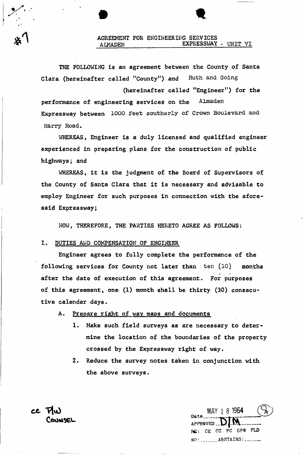**THE FOLLOWING is an agreement between the County of Santa Clara (hereinafter called "County") and Ruth and Going** 

**performance of engineering services on the Almaden Expressway between 1000 feet southerly of Crown Boulevard and Harry Road. (hereinafter called "Engineer 11 ) for the** 

**WHEREAS, Engineer is a duly licensed and qualified engineer experienced in preparing plans for the construction of public highways; and** 

**WHEREAS, it is the judgment of the Board of Supervisors of the County of Santa Clara that it is necessary and advisable to employ Engineer for such purposes in connection with the aforesaid Expressway;** 

**WOW, THEREFORE, THE PARTIES HERETO AGREE AS FOLLOWS:** 

#### **I. DUTIES AMD COMPENSATION OF ENGINEER**

**Engineer agrees to fully complete the performance of the following services for County not later than ten (10) months after the date of execution of this agreement. For purposes of this agreement, one (1) month shall be thirty (30) consecutive calendar days.** 

- **A. Prepare right of way maps and documents** 
	- **1. Make such field surveys as are necessary to determine the location of the boundaries of the property crossed by the Expressway right of way.**
	- **2. Reduce the survey notes taken in conjunction with the above surveys.**

MAY 1 8 1964 APPROVED. **M ! CE CC PC DPW FLD NO: ........ ABSTAINS: .......** 

**c e Tlu )**  COUNSEL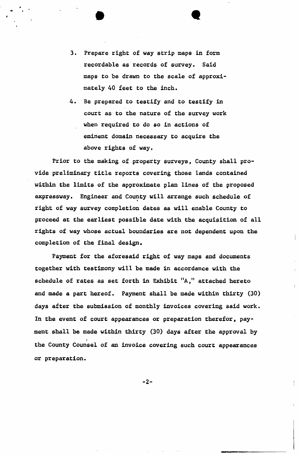3. Prepare right of way strip maps in form **recordable as records of survey. Said maps to be drawn to the scale of approximately 40 feet to the inch.** 

**• «** 

**4. Be prepared to testify and to testify in court as to the nature of the survey work when required to do so in actions of eminent domain necessary to acquire the above rights of way.** 

**Prior to the making of property surveys. County shall provide preliminary title reports covering those lands contained within the limits of the approximate plan lines of the proposed expressway. Engineer and County will arrange such schedule of right of way survey completion dates as will enable County to proceed at the earliest possible date with the acquisition of all rights of way whose actual boundaries are not dependent upon the**  completion of the final design.

**Payment for the aforesaid right of way maps and documents together with testimony will be made in accordance with the schedule of rates as set forth in Exhibit "A, attached hereto and made a part hereof. Payment shall be made within thirty (30) days after the submission of monthly invoices covering said work. In the event of court appearances or preparation therefor, payment shall be made within thirty (30) days after the approval by**  *t*  **the County Counsel of an invoice covering such court appearances**  or preparation.

 $-2-$ 

**or preparation.**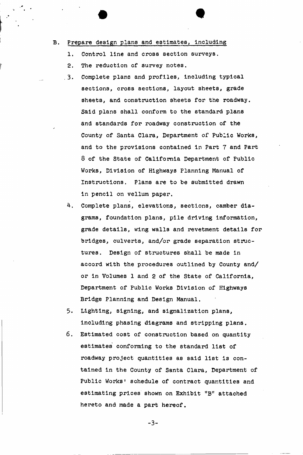## **B. Prepare design plans and estimates, including**

- **1. Control line and cross section surveys.**
- **2. The reduction of survey notes.**
- **. 3. Complete plans and profiles, including typical sections, cross sections, layout sheets, grade sheets, and construction sheets for the roadway. Said plans shall conform to the standard plans and standards for roadway construction of the County of Santa Clara, Department of Public Works, and to the provisions contained in Part 7 and Part 8 of the State of California Department of Public Works, Division of Highways Planning Manual of Instructions. Plans are to be submitted drawn in pencil on vellum paper.**
- **4. Complete plans, elevations, sections, camber diagrams, foundation plans, pile driving information, grade details, wing walls and revetment details for bridges, culverts, and/or grade separation structures. Design of structures shall be made in accord with the procedures outlined by County and/ or in Volumes 1 and 2 of the State of California, Department of Public Works Division of Highways Bridge Planning and Design Manual.**
- **5. Lighting, signing, and signalization plans, including phasing diagrams and stripping plans.**
- **6. Estimated cost of construction based on quantity estimates conforming to the standard list of roadway project quantities as said list is contained in the County of Santa Clara, Department of Public Works' schedule of contract quantities and estimating prices shown on Exhibit "B" attached hereto and made a part hereof.**

$$
-3 -
$$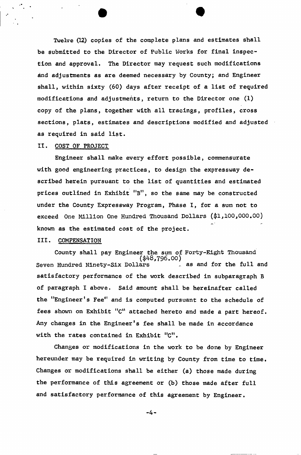**Twelve (12) copies of the complete plans and estimates shall be submitted to the Director of Public Works for final inspection and approval. The Director may request such modifications dnd adjustments as are deemed necessary by County; and Engineer shall, within sixty (60) days after receipt of a list of required modifications and adjustments, return to the Director one (1) copy of the plans, together with all tracings, profiles, cross sections, plats, estimates and descriptions modified and adjusted as required in said list.** 

## **II. COST OF PROJECT**

**Engineer shall make every effort possible, commensurate with good engineering practices, to design the expressway described herein pursuant to the list of quantities and estimated prices outlined in Exhibit "B n , so the same may be constructed under the County Expressway Program, Phase I, for a sum not to exceed One Million One Hundred Thousand Dollars (\$1,100,000.00) known as the estimated cost of the project.** 

#### **III. COMPENSATION**

**County shall pay Engineer the sum of Forty-Eight Thousand**  gath (\$48,796.00)<br>Seven Hundred Ninety-Six Dollars as and for the full and **Seven Hundred Ninety-Six Dollars . as and for the full and satisfactory performance of the work described in subparagraph B of paragraph I above. Said amount shall be hereinafter called the "Engineer s Fee" and is computed pursuant to the schedule of**  the "Engineer's Fee" and is computed pursuant to the schedule of *Eves shown on Exhibit* **C attached hereto and made a part hereof. Any changes in the Engineer's fee shall be made in accordance with the rates contained in Exhibit "C** with the rates contained in Exhibit "C". **.** 

**Changes or modifications in the work to be done by Engineer hereunder may be required in writing by County from time to time. Changes or modifications shall be either (a) those made during the performance of this agreement or (b) those made after full and satisfactory performance of this agreement by Engineer.** 

-4-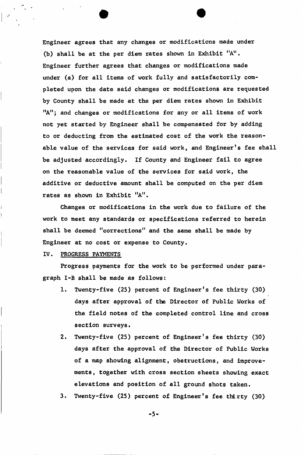**Engineer agrees that any changes or modifications made under (b) shall be at the per diem rates shown in Exhibit "A u . Engineer further agrees that changes or modifications made under (a) for all items of work fully and satisfactorily completed upon the date said changes or modifications are requested by County shall be made at the per diem rates shown in Exhibit "A"; and changes or modifications for any or all items of work not yet started by Engineer shall be compensated for by adding to or deducting from the estimated cost of the work the reasonable value of the services for said work, and Engineer's fee shall be adjusted accordingly. If County and Engineer fail to agree on the reasonable value of the services for said work, the additive or deductive amount shall be computed on the per diem rates as shown in Exhibit "A".** 

**Changes or modifications in the work due to failure of the work to meet any standards or specifications referred to herein shall be deemed "corrections" and the same shall be made by Engineer at no cost or expense to County.** 

#### **IV. PROGRESS PAYMENTS**

**Progress payments for the work to be performed under paragraph I-B shall be made as follows:** 

- **1. Twenty-five (25) percent of Engineer's fee thirty (30) days after approval of the Director of Public Works of the field notes of the completed control line and cross section surveys.**
- **2. Twenty-five (25) percent of Engineer's fee thirty (30) days after the approval of the Director of Public Works of a map showing alignment, obstructions, and improvements, together with cross section sheets showing exact elevations and position of all ground shots taken.**
- **3. Twenty-five (25) percent of Engineer's fee thirty (30)**

-5-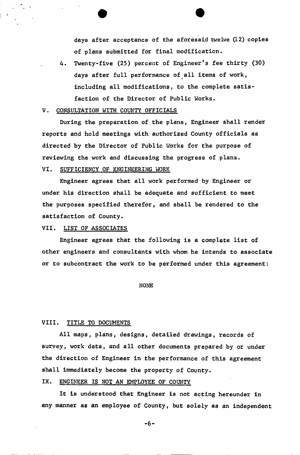**days after acceptance of the aforesaid twelve (12) copies of plans submitted for final modification,** 

**4. Twenty-five (25) percent of Engineer's fee thirty (30) days after full performance of all items of work, including all modifications, to the complete satisfaction of the Director of Public Works.** 

#### **V . CONSULTATION WITH COUNTY OFFICIALS**

**During the preparation of the plans, Engineer shall render reports and hold meetings with authorized County officials as directed by the Director of Public Works for the purpose of reviewing the work and discussing the progress of plans. VI. SUFFICIENCY OF ENGINEERING WORK** 

**Engineer agrees that all work performed by Engineer or under his direction shall be adequate and sufficient to meet the purposes specified therefor, and shall be rendered to the satisfaction of County.** 

## **VII. LIST OF ASSOCIATES**

**Engineer agrees that the following is a complete list of other engineers and consultants with whom he intends to associate or to subcontract the work to be performed under this agreement:** 

**NONE** 

#### **VIII. TITLE TO DOCUMENTS**

**All maps, plans, designs, detailed drawings, records of survey, work data, and all other documents prepared by or under the direction of Engineer in the performance of this agreement shall immediately become the property of County.** 

## **IX. ENGINEER IS NOT AN EMPLOYEE OF COUNTY**

**It is understood that Engineer is not acting hereunder in any manner as an employee of County, but solely as an independent** 

 $-6 -$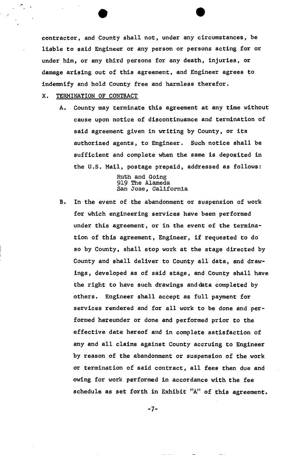**contractor, and County shall not, under any circumstances, be liable to said Engineer or any person or persons acting for or under him, or any third persons for any death, injuries, or damage arising out of this agreement, and Engineer agrees to indemnify and hold County free and harmless therefor,** 

#### **X. TERMINATION OF CONTRACT**

**A. County may terminate this agreement at any time without cause upon notice of discontinuance and termination of said agreement given in writing by County, or its authorized agents, to Engineer. Such notice shall be sufficient and complete when the same is deposited in**  the U.S. Mail, postage prepaid, addressed as follows:

> **Ruth and Going 919 The Alameda San Jose, California**

**B. In the event of the abandonment or suspension of work for which engineering services have been performed under this agreement, or in the event of the termination of this agreement, Engineer, if requested to do so by County, shall stop work at the stage directed by County and shall deliver to County all data, and drawings, developed as of said stage, and County shall have the right to have such drawings and data completed by others. Engineer shall accept as full payment for services rendered and for all work to be done and performed hereunder or done and performed prior to the effective date hereof and in complete satisfaction of any and all claims against County accruing to Engineer by reason of the abandonment or suspension of the work or termination of said contract, all fees then due and owing for work performed in accordance with the fee schedule as set forth in Exhibit "A" of this agreement.** 

 $-7-$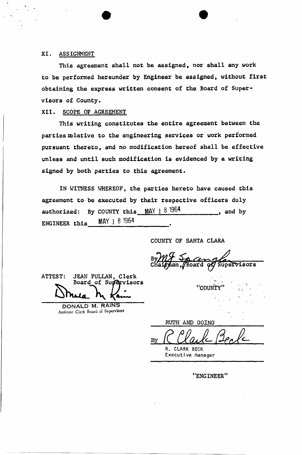## **XI. ASSIGNMENT**

**This agreement shall not be assigned, nor shall any work to be performed hereunder by Engineer be assigned, without first obtaining the express written consent of the Board of Supervisors of County.** 

#### **XII. SCOPE OF AGREEMENT**

**This writing constitutes the entire agreement between the parties relative to the engineering services or work performed pursuant thereto, and no modification hereof shall be effective unless and until such modification is evidenced by a writing signed by both parties to this agreement.** 

**IN WITNESS WHEREOF, the parties hereto have caused this agreement to be executed by their respective officers duly**  authorized: By COUNTY this  $MAY \perp 8$  1964 , and by **ENGINEER this Mfl Y 1 8 196 4 .** 

**COUNTY OF SANTA CLARA** 

upervisors Board

"COUNTY

**ATTEST: JEAN PULLAN, Clerk Board of Supervisors** 

> DONALD M. RAINS Assistant Clerk Board of Supervisors

**RUTH AND GOING**  By R. CLARK BECK Executive Manager

**"ENGINEER"**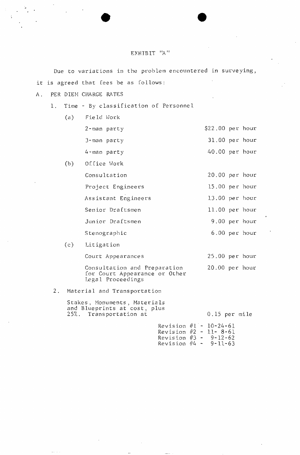#### EXHIBIT "A"

Due to variations in the problem encountered in surveying, it is agreed that fees be as follows:

- A. PER DIEM CHARGE RATES
	- 1. Time By classification of Personnel
		- (a) Field Work  $2$ -man party  $$22.00$  per hour 3-man party 31 .00 per hour 4-man party 40 .00 per hour  $(b)$ Office Work
			- Consultation 20 .00 per hour Project Engineers 15.00 per hour Assistant Engineers 13 .00 per hour Senior Draftsmen 11.00 per hour Junior Draftsmen 19.00 per hour Stenographic 6.00 per hour
		- $(c)$ Litigation Court Appearances 25 .00 per hour Consultation and Preparation 20 .00 per hour for Court Appearance or Other Legal Proceedings
	- 2. Material and Transportation

Stakes, Monuments, Materials and Blueprints at cost, plus 25%. Transportation at  $0.15$  per mile

> Revision #1 - 10-24-61 Revision #2 - 11- 8-61 Revision  $#3 - 9-12-62$ Revision #4 - 9-11-63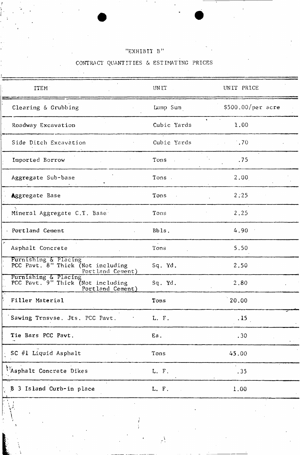# "EXHIBIT B"

/

; \ *<sup>t</sup>*

*i* '

# CONTRACT QUANTITIES & ESTIMATING PRICES

 $\mathcal{L}_{\text{max}}$ 

| <b>ITEM</b>                                                                   | <b>UNIT</b> | UNIT PRICE         |
|-------------------------------------------------------------------------------|-------------|--------------------|
| Clearing $\&$ Grubbing                                                        | Lump Sum    | $$500.00/per$ acre |
| Roadway Excavation                                                            | Cubic Yards | 1.00               |
| Side Ditch Excavation                                                         | Cubic Yards | $\sim 70$          |
| Imported Borrow                                                               | Tons .      | .75                |
| Aggregate Sub-base                                                            | Tons.       | 2,00               |
| <b>Aggregate Base</b>                                                         | Tons        | 2.25               |
| Mineral Aggregate C.T. Base:                                                  | Tons        | 2,25               |
| Portland Cement                                                               | Bbls.       | 4.90               |
| Asphalt Concrete                                                              | Tons        | 5.50               |
| Furnishing & Placing<br>PCC Pavt. 8" Thick (Not including<br>Portland Cement) | Sq. Yd.     | 2.50               |
| Furnishing & Placing<br>PCC Pavt. 9" Thick (Not including<br>Portland Cement) | Sq. Yd.     | 2,80               |
| Filler Material                                                               | Tons        | 20.00              |
| Sawing Trnsvse. Jts. PCC Pavt.                                                | L. F.       | .15                |
| Tie Bars PCC Pavt.                                                            | Ea.         | .30 <sub>2</sub>   |
| $\sim$ SC #1 Liquid Asphalt                                                   | Tons        | 45.00              |
| <i>Maphalt</i> Concrete Dikes                                                 | L. F.       | .35                |
| B 3 Island Curb-in place                                                      | L. F.       | 1.00               |
|                                                                               |             |                    |

*<sup>i</sup>*4\

**/ i**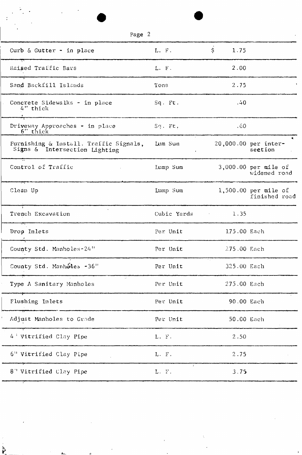| Page 2                                                                                                                                                             |                       |             |                                         |
|--------------------------------------------------------------------------------------------------------------------------------------------------------------------|-----------------------|-------------|-----------------------------------------|
| Curb & Gutter - in place                                                                                                                                           | L. F.                 | \$<br>1.75  |                                         |
| Raised Traffic Bars<br>.<br>2001 - Andrej Andrej, mensionalist personalist personalist personalist personalist personalist dan terdirikan                          | L. F.                 | 2.00        |                                         |
| Sand Backfill Islands                                                                                                                                              | Tons                  | 2.75        |                                         |
| Concrete Sidewalks - in place<br>4" thick<br>.<br>The second state of the second second state of the second second second state of the second second second second | $Sq$ . $Ft$ .         | .40         |                                         |
| Driveway Approaches - in place<br>6" thick                                                                                                                         | $Sq$ . $Ft$ .         | .60.        |                                         |
| Furnishing & Install. Traffic Signals, Lum Sum<br>Signs & Intersection Lighting                                                                                    |                       |             | 20,000.00 per inter-<br>section         |
| Control of Traffic                                                                                                                                                 | Lump Sum              |             | $3,000.00$ per mile of<br>widened road  |
| Clean Up                                                                                                                                                           | Lump Sum              |             | $1,500.00$ per mile of<br>finished road |
| $\sim$<br>Trench Excavation                                                                                                                                        | Cubic Yards 1.35      |             |                                         |
| Drop Inlets                                                                                                                                                        | Per Unit              | 175.00 Each |                                         |
| County Std. Manholes-24"                                                                                                                                           | Per Unit              | 275.00 Each |                                         |
| County Std. Manhoies -36"                                                                                                                                          | Per Unit              | 325.00 Each |                                         |
| Type A Sanitary Manholes                                                                                                                                           | Per Unit              | 275.00 Each |                                         |
| Flushing Inlets                                                                                                                                                    | Per Unit              | 90.00 Each  |                                         |
| Adjust Manholes to Grade                                                                                                                                           | Per Unit              | 50.00 Each  |                                         |
| 4 Vitrified Clay Pipe                                                                                                                                              | L. F.                 | 2.50        |                                         |
| 6" Vitrified Clay Pipe                                                                                                                                             | L. F.                 | 2.75        |                                         |
| 8" Vitrified Clay Pipe                                                                                                                                             | $\mathbf{I}$<br>L. T. | 3.75        |                                         |
|                                                                                                                                                                    |                       |             |                                         |

 $\label{eq:2} \frac{1}{\sqrt{2}}\int_{0}^{\infty} \frac{dx}{\sqrt{2\pi}}\,dx\leq \frac{1}{2\sqrt{2}}\int_{0}^{\infty} \frac{dx}{\sqrt{2\pi}}\,dx.$ 

**Carl Committee** 

 $\sim 3\%$  $\mathcal{L}_{\text{max}}$   $\sim$ 

 $\frac{1}{2} \left( \frac{1}{2} \right)$  ,  $\frac{1}{2} \left( \frac{1}{2} \right)$ 

 $\label{eq:2.1} \mathcal{L} = \mathcal{L} \left( \mathcal{L} \right) \mathcal{L} \left( \mathcal{L} \right) \mathcal{L} \left( \mathcal{L} \right)$ 

 $\mathcal{L}_{\text{max}}$  and  $\mathcal{L}_{\text{max}}$ 

 $\ddot{\mathbf{r}}$ 

 $\mathcal{L}^{\text{max}}_{\text{max}}$  and  $\mathcal{L}^{\text{max}}_{\text{max}}$ 

 $\mathbf{A}_{11}$   $\mathbf{A}_{22}$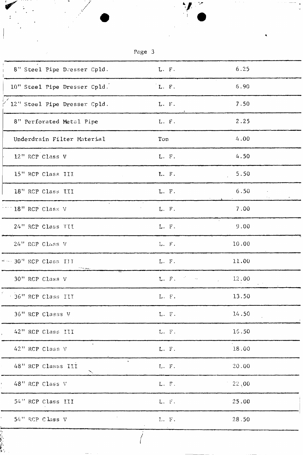| 8" Steel Pipe Dresser Cpld.                   | L. F.                                                                                                                                                                                                                                               | 6.25                                     |  |
|-----------------------------------------------|-----------------------------------------------------------------------------------------------------------------------------------------------------------------------------------------------------------------------------------------------------|------------------------------------------|--|
| 10" Steel Pipe Dresser Cpld.                  | L. F.                                                                                                                                                                                                                                               | 6.90                                     |  |
| $\frac{1}{2}$ 12" Steel Pipe Dresser Cpld.    | L. F.                                                                                                                                                                                                                                               | 7.50                                     |  |
| 8" Perforated Metal Pipe                      | $L - F$ .                                                                                                                                                                                                                                           | 2.25                                     |  |
| Underdrain Filter Material                    | Ton                                                                                                                                                                                                                                                 | 4.00                                     |  |
| 12" RCP Class V                               | L. F.                                                                                                                                                                                                                                               | 4.50                                     |  |
| 15" RCP Class III                             | L. F.                                                                                                                                                                                                                                               | 5.50                                     |  |
| 18" RCP Class III                             | L. F.                                                                                                                                                                                                                                               | 6.50                                     |  |
| $\sim 10^{-11}$<br>18" RCP Class V            | L. F.                                                                                                                                                                                                                                               | 7.00                                     |  |
| 24" RCP Class TII                             | L. F.                                                                                                                                                                                                                                               | $\sim$<br>9.00                           |  |
| 24" RCP Class V                               | $L$ . $F$ .                                                                                                                                                                                                                                         | 10.00                                    |  |
| $\pm$ $\cdots$ 30 <sup>1</sup> RCP Class III  | $L$ . F.                                                                                                                                                                                                                                            | 11.00                                    |  |
| 30" RCP Class V                               | $\mathbf{L}_{\sigma} \cdot \widetilde{\mathbf{F}}_{\sigma} = \mathbb{E} \cdot \left[ \begin{array}{ccc} \mathbb{E} \cdot \mathbb{E} & \mathbb{E} \cdot \mathbb{E} \\ \mathbb{E} \cdot \mathbb{E} & \mathbb{E} \cdot \mathbb{E} \end{array} \right]$ | 12.00<br>$\sigma^{-1}$ , $\sigma^{-1}$ , |  |
| 36" RCP Class III                             | L. $F$ .                                                                                                                                                                                                                                            | 13.50                                    |  |
| 36" RCP Classs V                              | $L. F.$                                                                                                                                                                                                                                             | 14.50                                    |  |
| 42" RCP Class III                             | $L. F.$                                                                                                                                                                                                                                             | 16.50                                    |  |
| $\mathbf{z}$ .<br>42" RCP Class V             | L. F.                                                                                                                                                                                                                                               | 18.00                                    |  |
| $\bullet$<br>48" RCP Classs III<br>$\searrow$ | L. F.                                                                                                                                                                                                                                               | 20.00                                    |  |
| 48" RCP Class V                               | L. F.                                                                                                                                                                                                                                               | 22,00                                    |  |
| 54" RCP Class III                             | $L$ . $\,$ F .                                                                                                                                                                                                                                      | 25.00                                    |  |
| 54" RCP Class V                               | L. F.                                                                                                                                                                                                                                               | 28.50                                    |  |
|                                               |                                                                                                                                                                                                                                                     |                                          |  |

\* *(* 

 $\mathbf{r}_i$  is a set of the contract of the contract of the contract of the contract of the contract of the contract of the contract of the contract of the contract of the contract of the contract of the contract of the con

**r.**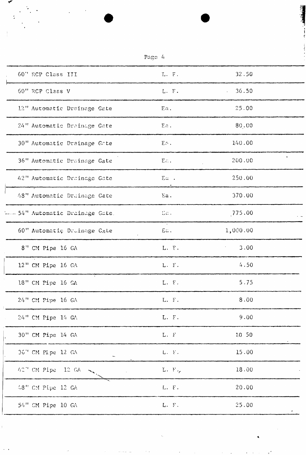| Page 4                             |                             |          |  |
|------------------------------------|-----------------------------|----------|--|
| 60" RCP Class III                  | L. F.                       | 32.50    |  |
| 60" RCP Class V                    | L.F.                        | 36.50    |  |
| 12" Automatic Drainage Gate        | Ea.                         | 25.00    |  |
| 24" Automatic Drainage Gate        | Ea.                         | 80,00    |  |
| 30" Automatic Drainage Gate        | $E \cap$ .                  | 140.00   |  |
| 36" Automatic Drainage Gate        | E.c.                        | 200.00   |  |
| 42" Automatic Drainage Gate        | Eu .                        | 250.00   |  |
| 48" Automatic Drainage Gate        | Ea.                         | 370.00   |  |
| ----- 54" Automatic Drainage Gate. | La .                        | 775.00   |  |
| 60" Automatic Druinage Cate        | $E_{\rm in}$ .              | 1,000.00 |  |
| 8" CM Pipe 16 GA                   | L. F.                       | 3.00     |  |
| 12" CM Pipe 16 GA                  | L. F.                       | 4.50     |  |
| 18" CM Pipe 16 GA                  | L. F.                       | 5.75     |  |
| 24" CM Pipe 16 GA                  | L. F.                       | 8.00     |  |
| 24" CM Pipe 14 GA                  | L. F.                       | 9.00     |  |
| 30" CM Pipe 14 GA                  | $\mathbf{L}$ . $\mathbf{F}$ | 10 50    |  |
| 36" CM Pipe 12 GA                  | L. F.                       | 15.00    |  |
| 42" CM Pipe 12 GA<br>$\mathbf{v}$  | L. F.                       | 18.00    |  |
| 48" CM Pipe 12 GA                  | L. F.                       | 20.00    |  |
| 54" CM Pipe 10 GA                  | L. F.                       | 25.00    |  |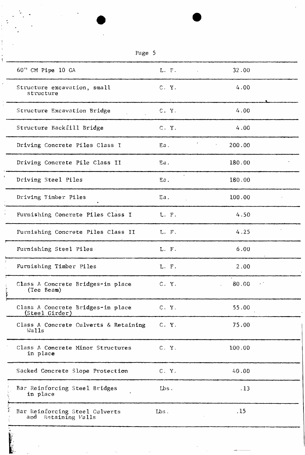| σ<br>.,<br>,-<br>п. |  |
|---------------------|--|
|---------------------|--|

| 60" CM Pipe 10 GA                                                                                                                                          | L. F.   | 32.00                                                                                                                                                                                                                                                                                                     |
|------------------------------------------------------------------------------------------------------------------------------------------------------------|---------|-----------------------------------------------------------------------------------------------------------------------------------------------------------------------------------------------------------------------------------------------------------------------------------------------------------|
| Structure excavation, small<br>structure                                                                                                                   | C. Y.   | 4.00                                                                                                                                                                                                                                                                                                      |
| Structure Excavation Bridge                                                                                                                                | C. Y.   | 4.00                                                                                                                                                                                                                                                                                                      |
| Structure Backfill Bridge                                                                                                                                  | C. Y.   | 4.00                                                                                                                                                                                                                                                                                                      |
| Driving Concrete Piles Class I<br>ے ہیں۔<br>مناظم درجہ میں ایک محمود ہوئی مقصد بالا کرنے کے لیے میں ایک بات کے مناظم میں مقابلے کی ایک مناظم اور ان کے ایک | Ea.     | 200.00                                                                                                                                                                                                                                                                                                    |
| Driving Concrete Pile Class II<br>.<br>2000 - Andrew Schwarzen, Amerikaansk politiker (d. 1982)                                                            | Ea.     | 180.00                                                                                                                                                                                                                                                                                                    |
| Driving Steel Piles                                                                                                                                        | Еa.     | 180.00                                                                                                                                                                                                                                                                                                    |
| Driving Timber Piles                                                                                                                                       | Ea.     | 100.00                                                                                                                                                                                                                                                                                                    |
| Furnishing Concrete Piles Class I                                                                                                                          | L. F.   | 4.50                                                                                                                                                                                                                                                                                                      |
| Furnishing Concrete Piles Class II                                                                                                                         | L. F.   | 4.25                                                                                                                                                                                                                                                                                                      |
| Furnishing Steel Piles                                                                                                                                     | L. F.   | 6.00                                                                                                                                                                                                                                                                                                      |
| Furnishing Timber Piles                                                                                                                                    | L. F.   | 2.00                                                                                                                                                                                                                                                                                                      |
| Class A Concrete Bridges-in place<br>(Tee Beam)<br>ļ.                                                                                                      | C. Y.   | 80.00<br>$\epsilon$ . The set of the set of the set of the set of the set of the set of the set of the set of the set of the set of the set of the set of the set of the set of the set of the set of the set of the set of the set of the s<br>$\mathcal{L}^{\text{max}}$ and $\mathcal{L}^{\text{max}}$ |
| Class A Concrete Bridges-in place<br>(Steel Girder)                                                                                                        | C. Y.   | 55.00                                                                                                                                                                                                                                                                                                     |
| Class A Concrete Culverts & Retaining<br>Walls                                                                                                             | C. Y.   | 75.00                                                                                                                                                                                                                                                                                                     |
| Class A Concrete Minor Structures<br>in place                                                                                                              | C. Y.   | 100.00                                                                                                                                                                                                                                                                                                    |
| Sacked Concrete Slope Protection                                                                                                                           | C. Y.   | 40.00                                                                                                                                                                                                                                                                                                     |
| Bar Reinforcing Steel Bridges<br>in place                                                                                                                  | $Lbs$ . | .13                                                                                                                                                                                                                                                                                                       |
| Bar Reinforcing Steel Culverts<br>and Retaining Valls                                                                                                      | Lbs.    | .15                                                                                                                                                                                                                                                                                                       |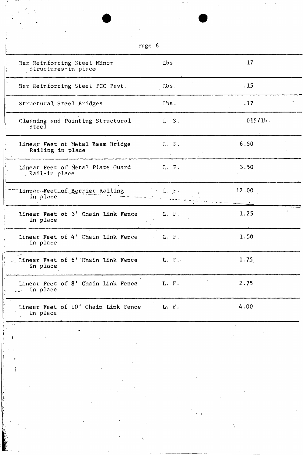| Page 6                                                    |                                                     |          |
|-----------------------------------------------------------|-----------------------------------------------------|----------|
| Bar Reinforcing Steel Minor<br>Structures-in place        | Lbs.                                                | .17      |
| Bar Reinforcing Steel PCC Pavt.                           | Lbs.                                                | .15      |
| Structural Steel Bridges                                  | $Lbs$ .                                             | .17      |
| Cleaning and Painting Structural<br>Steel                 | L S.                                                | .015/1b. |
| Linear Feet of Metal Beam Bridge<br>Railing in place      | L. F.                                               | 6.50     |
| Linear Feet of Metal Plate Guard<br>Rail-in place         | L. F.                                               | 3.50     |
| Linear-Feet of Barrier Railing<br>in place                | $\mathbb{R}^n \times \mathbb{L}$ , $[\mathbf{F}]$ . | 12.00    |
| Linear Feet of 3' Chain Link Fence<br>in place            | L. F.                                               | 1.25     |
| Linear Feet of 4' Chain Link Fence L. F.<br>in place      |                                                     | 1.50     |
| Linear Feet of 6' Chain Link Fence<br>in place            | L. F.                                               | 1.75     |
| Linear Feet of 8' Chain Link Fence<br>in place<br>السيعات | L. F.                                               | 2.75     |
| Linear Feet of 10' Chain Link Fence<br>in place           | L. F.                                               | 4.00     |
|                                                           |                                                     |          |
|                                                           |                                                     |          |
|                                                           |                                                     |          |
|                                                           | $\sim$ 1                                            |          |

 $\label{eq:2.1} \begin{array}{l} \mathcal{F}_{\mathcal{G}}(x) = \mathcal{F}_{\mathcal{G}}(x)\\ \mathcal{F}_{\mathcal{G}}(x) = \mathcal{F}_{\mathcal{G}}(x) \end{array}$ 

 $\frac{1}{2}$ 

in and<br>A

n i se